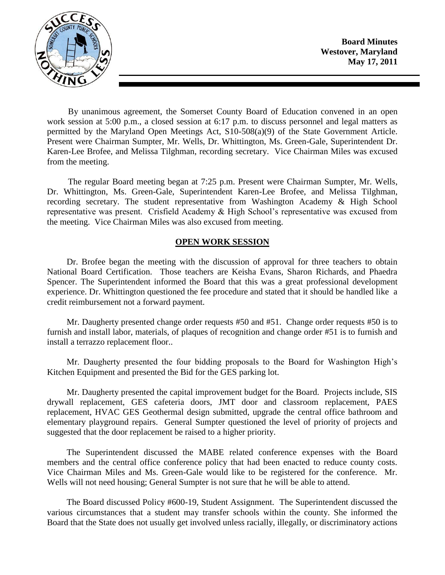

By unanimous agreement, the Somerset County Board of Education convened in an open work session at 5:00 p.m., a closed session at 6:17 p.m. to discuss personnel and legal matters as permitted by the Maryland Open Meetings Act, S10-508(a)(9) of the State Government Article. Present were Chairman Sumpter, Mr. Wells, Dr. Whittington, Ms. Green-Gale, Superintendent Dr. Karen-Lee Brofee, and Melissa Tilghman, recording secretary. Vice Chairman Miles was excused from the meeting.

The regular Board meeting began at 7:25 p.m. Present were Chairman Sumpter, Mr. Wells, Dr. Whittington, Ms. Green-Gale, Superintendent Karen-Lee Brofee, and Melissa Tilghman, recording secretary. The student representative from Washington Academy & High School representative was present. Crisfield Academy & High School's representative was excused from the meeting. Vice Chairman Miles was also excused from meeting.

## **OPEN WORK SESSION**

Dr. Brofee began the meeting with the discussion of approval for three teachers to obtain National Board Certification. Those teachers are Keisha Evans, Sharon Richards, and Phaedra Spencer. The Superintendent informed the Board that this was a great professional development experience. Dr. Whittington questioned the fee procedure and stated that it should be handled like a credit reimbursement not a forward payment.

Mr. Daugherty presented change order requests #50 and #51. Change order requests #50 is to furnish and install labor, materials, of plaques of recognition and change order #51 is to furnish and install a terrazzo replacement floor..

Mr. Daugherty presented the four bidding proposals to the Board for Washington High's Kitchen Equipment and presented the Bid for the GES parking lot.

Mr. Daugherty presented the capital improvement budget for the Board. Projects include, SIS drywall replacement, GES cafeteria doors, JMT door and classroom replacement, PAES replacement, HVAC GES Geothermal design submitted, upgrade the central office bathroom and elementary playground repairs. General Sumpter questioned the level of priority of projects and suggested that the door replacement be raised to a higher priority.

The Superintendent discussed the MABE related conference expenses with the Board members and the central office conference policy that had been enacted to reduce county costs. Vice Chairman Miles and Ms. Green-Gale would like to be registered for the conference. Mr. Wells will not need housing; General Sumpter is not sure that he will be able to attend.

The Board discussed Policy #600-19, Student Assignment. The Superintendent discussed the various circumstances that a student may transfer schools within the county. She informed the Board that the State does not usually get involved unless racially, illegally, or discriminatory actions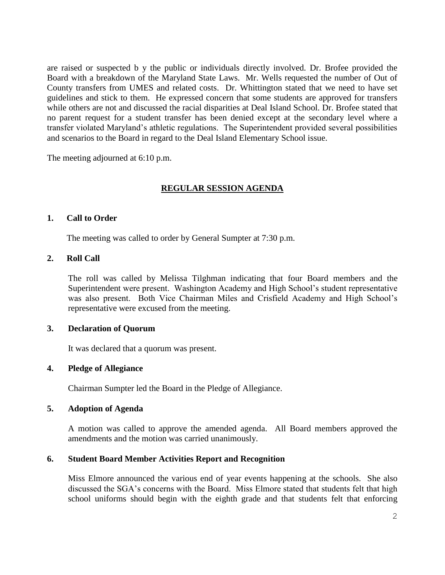are raised or suspected b y the public or individuals directly involved. Dr. Brofee provided the Board with a breakdown of the Maryland State Laws. Mr. Wells requested the number of Out of County transfers from UMES and related costs. Dr. Whittington stated that we need to have set guidelines and stick to them. He expressed concern that some students are approved for transfers while others are not and discussed the racial disparities at Deal Island School. Dr. Brofee stated that no parent request for a student transfer has been denied except at the secondary level where a transfer violated Maryland's athletic regulations. The Superintendent provided several possibilities and scenarios to the Board in regard to the Deal Island Elementary School issue.

The meeting adjourned at 6:10 p.m.

# **REGULAR SESSION AGENDA**

### **1. Call to Order**

The meeting was called to order by General Sumpter at 7:30 p.m.

## **2. Roll Call**

The roll was called by Melissa Tilghman indicating that four Board members and the Superintendent were present. Washington Academy and High School's student representative was also present. Both Vice Chairman Miles and Crisfield Academy and High School's representative were excused from the meeting.

### **3. Declaration of Quorum**

It was declared that a quorum was present.

#### **4. Pledge of Allegiance**

Chairman Sumpter led the Board in the Pledge of Allegiance.

## **5. Adoption of Agenda**

A motion was called to approve the amended agenda. All Board members approved the amendments and the motion was carried unanimously.

## **6. Student Board Member Activities Report and Recognition**

Miss Elmore announced the various end of year events happening at the schools. She also discussed the SGA's concerns with the Board. Miss Elmore stated that students felt that high school uniforms should begin with the eighth grade and that students felt that enforcing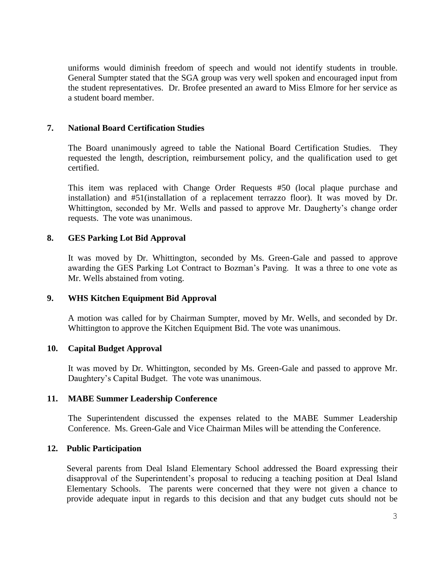uniforms would diminish freedom of speech and would not identify students in trouble. General Sumpter stated that the SGA group was very well spoken and encouraged input from the student representatives. Dr. Brofee presented an award to Miss Elmore for her service as a student board member.

## **7. National Board Certification Studies**

The Board unanimously agreed to table the National Board Certification Studies. They requested the length, description, reimbursement policy, and the qualification used to get certified.

This item was replaced with Change Order Requests #50 (local plaque purchase and installation) and #51(installation of a replacement terrazzo floor). It was moved by Dr. Whittington, seconded by Mr. Wells and passed to approve Mr. Daugherty's change order requests. The vote was unanimous.

# **8. GES Parking Lot Bid Approval**

It was moved by Dr. Whittington, seconded by Ms. Green-Gale and passed to approve awarding the GES Parking Lot Contract to Bozman's Paving. It was a three to one vote as Mr. Wells abstained from voting.

## **9. WHS Kitchen Equipment Bid Approval**

A motion was called for by Chairman Sumpter, moved by Mr. Wells, and seconded by Dr. Whittington to approve the Kitchen Equipment Bid. The vote was unanimous.

## **10. Capital Budget Approval**

It was moved by Dr. Whittington, seconded by Ms. Green-Gale and passed to approve Mr. Daughtery's Capital Budget. The vote was unanimous.

## **11. MABE Summer Leadership Conference**

The Superintendent discussed the expenses related to the MABE Summer Leadership Conference. Ms. Green-Gale and Vice Chairman Miles will be attending the Conference.

## **12. Public Participation**

Several parents from Deal Island Elementary School addressed the Board expressing their disapproval of the Superintendent's proposal to reducing a teaching position at Deal Island Elementary Schools. The parents were concerned that they were not given a chance to provide adequate input in regards to this decision and that any budget cuts should not be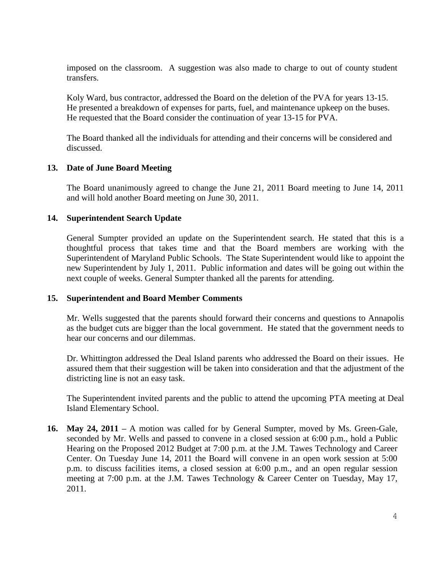imposed on the classroom. A suggestion was also made to charge to out of county student transfers.

Koly Ward, bus contractor, addressed the Board on the deletion of the PVA for years 13-15. He presented a breakdown of expenses for parts, fuel, and maintenance upkeep on the buses. He requested that the Board consider the continuation of year 13-15 for PVA.

The Board thanked all the individuals for attending and their concerns will be considered and discussed.

## **13. Date of June Board Meeting**

The Board unanimously agreed to change the June 21, 2011 Board meeting to June 14, 2011 and will hold another Board meeting on June 30, 2011.

# **14. Superintendent Search Update**

General Sumpter provided an update on the Superintendent search. He stated that this is a thoughtful process that takes time and that the Board members are working with the Superintendent of Maryland Public Schools. The State Superintendent would like to appoint the new Superintendent by July 1, 2011. Public information and dates will be going out within the next couple of weeks. General Sumpter thanked all the parents for attending.

## **15. Superintendent and Board Member Comments**

Mr. Wells suggested that the parents should forward their concerns and questions to Annapolis as the budget cuts are bigger than the local government. He stated that the government needs to hear our concerns and our dilemmas.

Dr. Whittington addressed the Deal Island parents who addressed the Board on their issues. He assured them that their suggestion will be taken into consideration and that the adjustment of the districting line is not an easy task.

The Superintendent invited parents and the public to attend the upcoming PTA meeting at Deal Island Elementary School.

**16. May 24, 2011 –** A motion was called for by General Sumpter, moved by Ms. Green-Gale, seconded by Mr. Wells and passed to convene in a closed session at 6:00 p.m., hold a Public Hearing on the Proposed 2012 Budget at 7:00 p.m. at the J.M. Tawes Technology and Career Center. On Tuesday June 14, 2011 the Board will convene in an open work session at 5:00 p.m. to discuss facilities items, a closed session at 6:00 p.m., and an open regular session meeting at 7:00 p.m. at the J.M. Tawes Technology & Career Center on Tuesday, May 17, 2011.